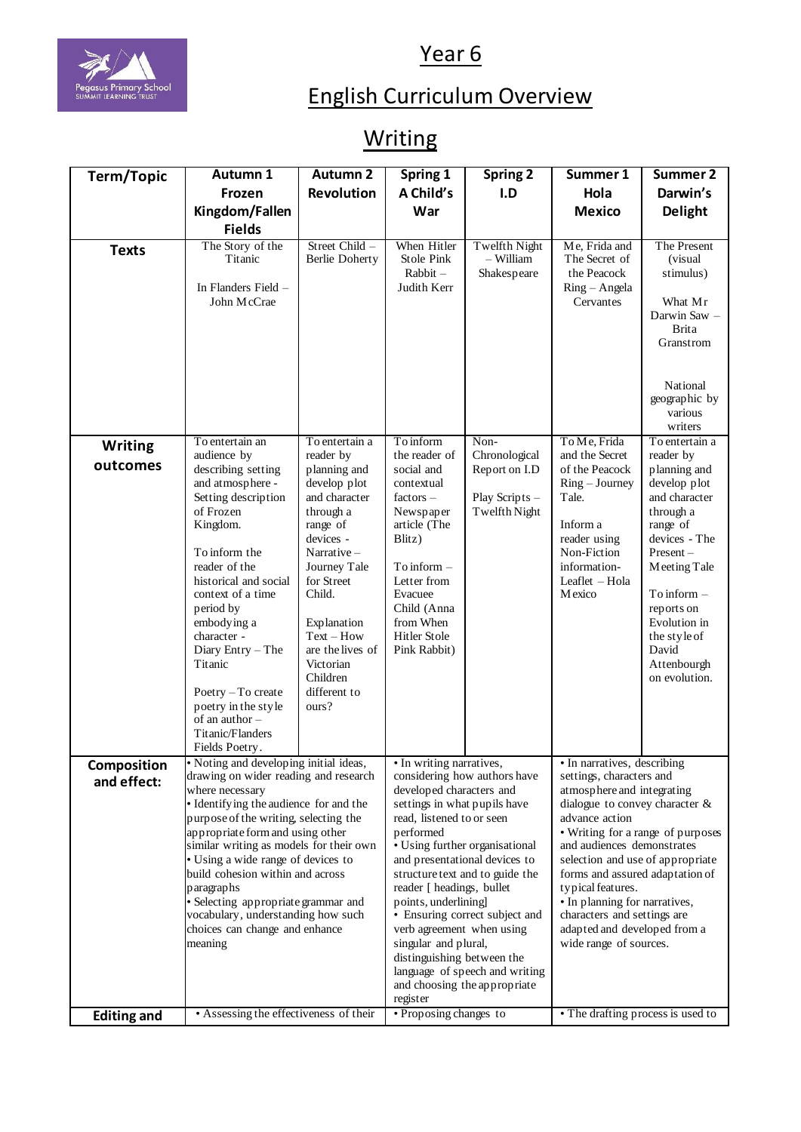



## English Curriculum Overview

Year 6

## **Writing**

| <b>Term/Topic</b>          | Autumn 1                                                                                                                                                                                                                                                                                                                                                                                                                                     | <b>Autumn 2</b>                                                                                                                                                                                                                                                                  | Spring 1                                                                                                                                                                                                                                                                                                                                                                                                                                                                             | <b>Spring 2</b>                                                           | Summer 1                                                                                                                                                                                                                                                                                                                                                                                               | Summer 2                                                                                                                                                                                                                                                      |
|----------------------------|----------------------------------------------------------------------------------------------------------------------------------------------------------------------------------------------------------------------------------------------------------------------------------------------------------------------------------------------------------------------------------------------------------------------------------------------|----------------------------------------------------------------------------------------------------------------------------------------------------------------------------------------------------------------------------------------------------------------------------------|--------------------------------------------------------------------------------------------------------------------------------------------------------------------------------------------------------------------------------------------------------------------------------------------------------------------------------------------------------------------------------------------------------------------------------------------------------------------------------------|---------------------------------------------------------------------------|--------------------------------------------------------------------------------------------------------------------------------------------------------------------------------------------------------------------------------------------------------------------------------------------------------------------------------------------------------------------------------------------------------|---------------------------------------------------------------------------------------------------------------------------------------------------------------------------------------------------------------------------------------------------------------|
|                            | Frozen                                                                                                                                                                                                                                                                                                                                                                                                                                       | Revolution                                                                                                                                                                                                                                                                       | A Child's                                                                                                                                                                                                                                                                                                                                                                                                                                                                            | I.D                                                                       | Hola                                                                                                                                                                                                                                                                                                                                                                                                   | Darwin's                                                                                                                                                                                                                                                      |
|                            | Kingdom/Fallen                                                                                                                                                                                                                                                                                                                                                                                                                               |                                                                                                                                                                                                                                                                                  | War                                                                                                                                                                                                                                                                                                                                                                                                                                                                                  |                                                                           | <b>Mexico</b>                                                                                                                                                                                                                                                                                                                                                                                          | <b>Delight</b>                                                                                                                                                                                                                                                |
|                            | <b>Fields</b>                                                                                                                                                                                                                                                                                                                                                                                                                                |                                                                                                                                                                                                                                                                                  |                                                                                                                                                                                                                                                                                                                                                                                                                                                                                      |                                                                           |                                                                                                                                                                                                                                                                                                                                                                                                        |                                                                                                                                                                                                                                                               |
| <b>Texts</b>               | The Story of the<br>Titanic<br>In Flanders Field -<br>John McCrae                                                                                                                                                                                                                                                                                                                                                                            | Street Child -<br><b>Berlie Doherty</b>                                                                                                                                                                                                                                          | When Hitler<br><b>Stole Pink</b><br>Rabbit-<br>Judith Kerr                                                                                                                                                                                                                                                                                                                                                                                                                           | <b>Twelfth Night</b><br>- William<br>Shakespeare                          | Me, Frida and<br>The Secret of<br>the Peacock<br>Ring – Angela<br>Cervantes                                                                                                                                                                                                                                                                                                                            | The Present<br>(visual)<br>stimulus)<br>What Mr<br>Darwin Saw -<br><b>Brita</b><br>Granstrom<br>National<br>geographic by<br>various<br>writers                                                                                                               |
| <b>Writing</b><br>outcomes | To entertain an<br>audience by<br>describing setting<br>and atmosphere -<br>Setting description<br>of Frozen<br>Kingdom.<br>To inform the<br>reader of the<br>historical and social<br>context of a time<br>period by<br>embodying a<br>character -<br>Diary Entry - The<br>Titanic<br>Poetry $-$ To create<br>poetry in the style<br>of an author-<br>Titanic/Flanders                                                                      | To entertain a<br>reader by<br>planning and<br>develop plot<br>and character<br>through a<br>range of<br>devices -<br>Narrative $-$<br>Journey Tale<br>for Street<br>Child.<br>Explanation<br>$Text - How$<br>are the lives of<br>Victorian<br>Children<br>different to<br>ours? | To inform<br>the reader of<br>social and<br>contextual<br>$factors -$<br>Newspaper<br>article (The<br>Blitz)<br>To inform -<br>Letter from<br>Evacuee<br>Child (Anna<br>from When<br><b>Hitler Stole</b><br>Pink Rabbit)                                                                                                                                                                                                                                                             | Non-<br>Chronological<br>Report on I.D<br>Play Scripts -<br>Twelfth Night | To Me, Frida<br>and the Secret<br>of the Peacock<br>$Ring - Journey$<br>Tale.<br>Inform a<br>reader using<br>Non-Fiction<br>information-<br>Leaflet - Hola<br>Mexico                                                                                                                                                                                                                                   | To entertain a<br>reader by<br>planning and<br>develop plot<br>and character<br>through a<br>range of<br>devices - The<br>$Present -$<br>Meeting Tale<br>To inform $-$<br>reports on<br>Evolution in<br>the style of<br>David<br>Attenbourgh<br>on evolution. |
| Composition                | Fields Poetry.<br>• Noting and developing initial ideas,                                                                                                                                                                                                                                                                                                                                                                                     |                                                                                                                                                                                                                                                                                  | • In writing narratives,                                                                                                                                                                                                                                                                                                                                                                                                                                                             |                                                                           | • In narratives, describing                                                                                                                                                                                                                                                                                                                                                                            |                                                                                                                                                                                                                                                               |
| and effect:                | drawing on wider reading and research<br>where necessary<br>• Identifying the audience for and the<br>purpose of the writing, selecting the<br>appropriate form and using other<br>similar writing as models for their own<br>• Using a wide range of devices to<br>build cohesion within and across<br>paragraphs<br>· Selecting appropriate grammar and<br>vocabulary, understanding how such<br>choices can change and enhance<br>meaning |                                                                                                                                                                                                                                                                                  | considering how authors have<br>developed characters and<br>settings in what pupils have<br>read, listened to or seen<br>performed<br>• Using further organisational<br>and presentational devices to<br>structure text and to guide the<br>reader [ headings, bullet<br>points, underlining]<br>• Ensuring correct subject and<br>verb agreement when using<br>singular and plural,<br>distinguishing between the<br>language of speech and writing<br>and choosing the appropriate |                                                                           | settings, characters and<br>atmosphere and integrating<br>dialogue to convey character $\&$<br>advance action<br>• Writing for a range of purposes<br>and audiences demonstrates<br>selection and use of appropriate<br>forms and assured adaptation of<br>typical features.<br>• In planning for narratives,<br>characters and settings are<br>adapted and developed from a<br>wide range of sources. |                                                                                                                                                                                                                                                               |
| <b>Editing and</b>         | • Assessing the effectiveness of their                                                                                                                                                                                                                                                                                                                                                                                                       |                                                                                                                                                                                                                                                                                  | register<br>• Proposing changes to                                                                                                                                                                                                                                                                                                                                                                                                                                                   |                                                                           | • The drafting process is used to                                                                                                                                                                                                                                                                                                                                                                      |                                                                                                                                                                                                                                                               |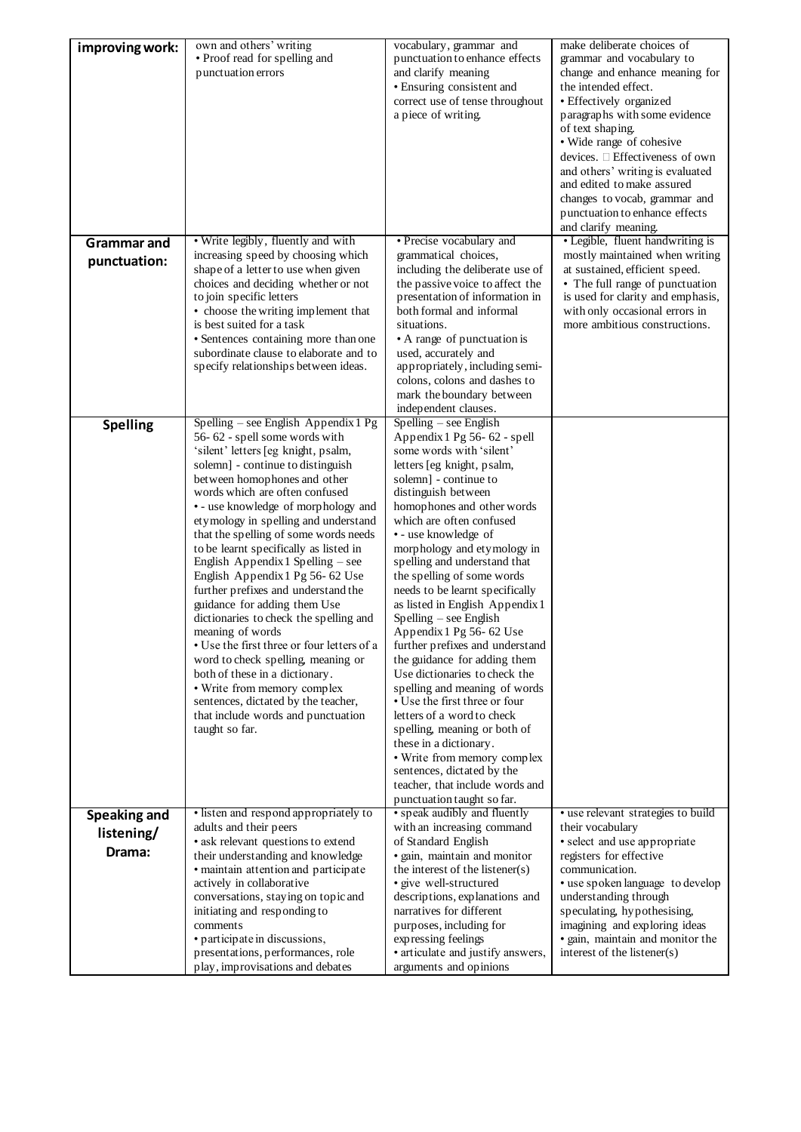| improving work:                             | own and others' writing<br>• Proof read for spelling and<br>punctuation errors                                                                                                                                                                                                                                                                                                                                                                                                                                                                                                                                                                                                                                                                                                                                                                          | vocabulary, grammar and<br>punctuation to enhance effects<br>and clarify meaning<br>· Ensuring consistent and<br>correct use of tense throughout<br>a piece of writing.                                                                                                                                                                                                                                                                                                                                                                                                                                                                                                                                                                                                                                                                                               | make deliberate choices of<br>grammar and vocabulary to<br>change and enhance meaning for<br>the intended effect.<br>· Effectively organized<br>paragraphs with some evidence<br>of text shaping.<br>• Wide range of cohesive<br>devices. □ Effectiveness of own                                                                    |
|---------------------------------------------|---------------------------------------------------------------------------------------------------------------------------------------------------------------------------------------------------------------------------------------------------------------------------------------------------------------------------------------------------------------------------------------------------------------------------------------------------------------------------------------------------------------------------------------------------------------------------------------------------------------------------------------------------------------------------------------------------------------------------------------------------------------------------------------------------------------------------------------------------------|-----------------------------------------------------------------------------------------------------------------------------------------------------------------------------------------------------------------------------------------------------------------------------------------------------------------------------------------------------------------------------------------------------------------------------------------------------------------------------------------------------------------------------------------------------------------------------------------------------------------------------------------------------------------------------------------------------------------------------------------------------------------------------------------------------------------------------------------------------------------------|-------------------------------------------------------------------------------------------------------------------------------------------------------------------------------------------------------------------------------------------------------------------------------------------------------------------------------------|
|                                             |                                                                                                                                                                                                                                                                                                                                                                                                                                                                                                                                                                                                                                                                                                                                                                                                                                                         |                                                                                                                                                                                                                                                                                                                                                                                                                                                                                                                                                                                                                                                                                                                                                                                                                                                                       | and others' writing is evaluated<br>and edited to make assured<br>changes to vocab, grammar and<br>punctuation to enhance effects<br>and clarify meaning.                                                                                                                                                                           |
| <b>Grammar</b> and<br>punctuation:          | • Write legibly, fluently and with<br>increasing speed by choosing which<br>shape of a letter to use when given<br>choices and deciding whether or not<br>to join specific letters<br>• choose the writing implement that<br>is best suited for a task<br>• Sentences containing more than one<br>subordinate clause to elaborate and to<br>specify relationships between ideas.                                                                                                                                                                                                                                                                                                                                                                                                                                                                        | • Precise vocabulary and<br>grammatical choices,<br>including the deliberate use of<br>the passive voice to affect the<br>presentation of information in<br>both formal and informal<br>situations.<br>• A range of punctuation is<br>used, accurately and<br>appropriately, including semi-<br>colons, colons and dashes to<br>mark the boundary between<br>independent clauses.                                                                                                                                                                                                                                                                                                                                                                                                                                                                                     | • Legible, fluent handwriting is<br>mostly maintained when writing<br>at sustained, efficient speed.<br>• The full range of punctuation<br>is used for clarity and emphasis,<br>with only occasional errors in<br>more ambitious constructions.                                                                                     |
| <b>Spelling</b>                             | Spelling - see English Appendix 1 Pg<br>56-62 - spell some words with<br>'silent' letters [eg knight, psalm,<br>solemn] - continue to distinguish<br>between homophones and other<br>words which are often confused<br>• - use knowledge of morphology and<br>etymology in spelling and understand<br>that the spelling of some words needs<br>to be learnt specifically as listed in<br>English Appendix 1 Spelling – see<br>English Appendix 1 Pg 56- 62 Use<br>further prefixes and understand the<br>guidance for adding them Use<br>dictionaries to check the spelling and<br>meaning of words<br>• Use the first three or four letters of a<br>word to check spelling, meaning or<br>both of these in a dictionary.<br>• Write from memory complex<br>sentences, dictated by the teacher,<br>that include words and punctuation<br>taught so far. | Spelling – see English<br>Appendix 1 Pg 56-62 - spell<br>some words with 'silent'<br>letters [eg knight, psalm,<br>solemn] - continue to<br>distinguish between<br>homophones and other words<br>which are often confused<br>• - use knowledge of<br>morphology and etymology in<br>spelling and understand that<br>the spelling of some words<br>needs to be learnt specifically<br>as listed in English Appendix 1<br>Spelling – see English<br>Appendix 1 Pg 56-62 Use<br>further prefixes and understand<br>the guidance for adding them<br>Use dictionaries to check the<br>spelling and meaning of words<br>• Use the first three or four<br>letters of a word to check<br>spelling, meaning or both of<br>these in a dictionary.<br>• Write from memory complex<br>sentences, dictated by the<br>teacher, that include words and<br>punctuation taught so far. |                                                                                                                                                                                                                                                                                                                                     |
| <b>Speaking and</b><br>listening/<br>Drama: | • listen and respond appropriately to<br>adults and their peers<br>· ask relevant questions to extend<br>their understanding and knowledge<br>· maintain attention and participate<br>actively in collaborative<br>conversations, staying on topic and<br>initiating and responding to<br>comments<br>• participate in discussions,<br>presentations, performances, role<br>play, improvisations and debates                                                                                                                                                                                                                                                                                                                                                                                                                                            | • speak audibly and fluently<br>with an increasing command<br>of Standard English<br>· gain, maintain and monitor<br>the interest of the listener(s)<br>· give well-structured<br>descriptions, explanations and<br>narratives for different<br>purposes, including for<br>expressing feelings<br>• articulate and justify answers,<br>arguments and opinions                                                                                                                                                                                                                                                                                                                                                                                                                                                                                                         | • use relevant strategies to build<br>their vocabulary<br>· select and use appropriate<br>registers for effective<br>communication.<br>• use spoken language to develop<br>understanding through<br>speculating, hypothesising,<br>imagining and exploring ideas<br>· gain, maintain and monitor the<br>interest of the listener(s) |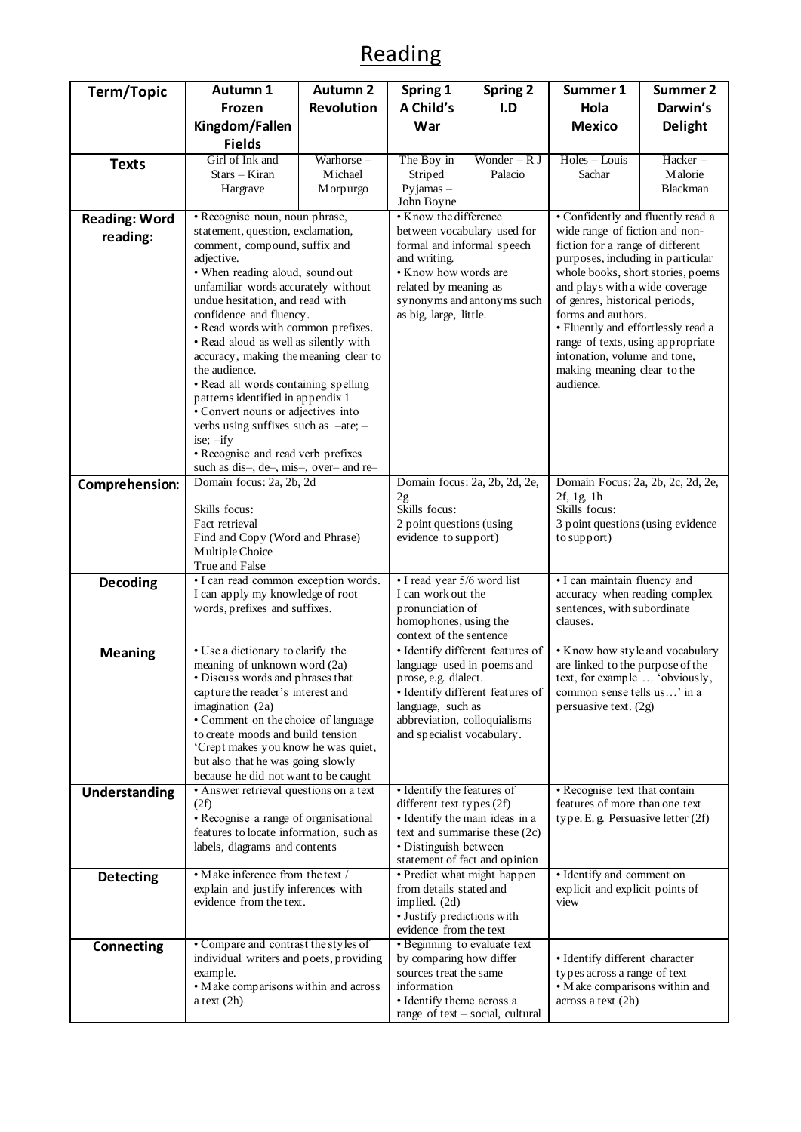## Reading

| <b>Term/Topic</b>    | Autumn 1<br>Frozen<br>Kingdom/Fallen                                                                                                                                                                                                                                                                                                                                                                                                                                                                                                                                                                                        | <b>Autumn 2</b><br><b>Revolution</b> | Spring 1<br>A Child's<br>War                                                                                                                                                                                  | <b>Spring 2</b><br>I.D                                                                                   | Summer 1<br>Hola<br><b>Mexico</b>                                                                                                                                                                                                                                                                                                                                                             | <b>Summer 2</b><br>Darwin's<br><b>Delight</b> |
|----------------------|-----------------------------------------------------------------------------------------------------------------------------------------------------------------------------------------------------------------------------------------------------------------------------------------------------------------------------------------------------------------------------------------------------------------------------------------------------------------------------------------------------------------------------------------------------------------------------------------------------------------------------|--------------------------------------|---------------------------------------------------------------------------------------------------------------------------------------------------------------------------------------------------------------|----------------------------------------------------------------------------------------------------------|-----------------------------------------------------------------------------------------------------------------------------------------------------------------------------------------------------------------------------------------------------------------------------------------------------------------------------------------------------------------------------------------------|-----------------------------------------------|
|                      | <b>Fields</b>                                                                                                                                                                                                                                                                                                                                                                                                                                                                                                                                                                                                               |                                      |                                                                                                                                                                                                               |                                                                                                          |                                                                                                                                                                                                                                                                                                                                                                                               |                                               |
| <b>Texts</b>         | Girl of Ink and<br>$Stars - Kiran$<br>Hargrave                                                                                                                                                                                                                                                                                                                                                                                                                                                                                                                                                                              | Warhorse-<br>M ichael<br>M orpurgo   | The Boy in<br>Striped<br>Pyjamas $-$<br>John Boyne                                                                                                                                                            | Wonder $-RJ$<br>Palacio                                                                                  | Holes - Louis<br>Sachar                                                                                                                                                                                                                                                                                                                                                                       | Hacker-<br>Malorie<br>Blackman                |
| <b>Reading: Word</b> | • Recognise noun, noun phrase,                                                                                                                                                                                                                                                                                                                                                                                                                                                                                                                                                                                              |                                      | • Know the difference                                                                                                                                                                                         |                                                                                                          | • Confidently and fluently read a                                                                                                                                                                                                                                                                                                                                                             |                                               |
| reading:             | statement, question, exclamation,<br>comment, compound, suffix and<br>adjective.<br>• When reading aloud, sound out<br>unfamiliar words accurately without<br>undue hesitation, and read with<br>confidence and fluency.<br>• Read words with common prefixes.<br>• Read aloud as well as silently with<br>accuracy, making the meaning clear to<br>the audience.<br>• Read all words containing spelling<br>patterns identified in appendix 1<br>• Convert nouns or adjectives into<br>verbs using suffixes such as -ate; -<br>ise; $-ify$<br>• Recognise and read verb prefixes<br>such as dis-, de-, mis-, over- and re- |                                      | between vocabulary used for<br>formal and informal speech<br>and writing.<br>• Know how words are<br>related by meaning as<br>synonyms and antonyms such<br>as big, large, little.                            |                                                                                                          | wide range of fiction and non-<br>fiction for a range of different<br>purposes, including in particular<br>whole books, short stories, poems<br>and plays with a wide coverage<br>of genres, historical periods,<br>forms and authors.<br>• Fluently and effortlessly read a<br>range of texts, using appropriate<br>intonation, volume and tone,<br>making meaning clear to the<br>audience. |                                               |
| Comprehension:       | Domain focus: 2a, 2b, 2d<br>Skills focus:<br>Fact retrieval<br>Find and Copy (Word and Phrase)<br>Multiple Choice<br>True and False                                                                                                                                                                                                                                                                                                                                                                                                                                                                                         |                                      | Domain focus: 2a, 2b, 2d, 2e,<br>2f, 1g, 1h<br>2g<br>Skills focus:<br>Skills focus:<br>2 point questions (using<br>evidence to support)<br>to support)                                                        |                                                                                                          | Domain Focus: 2a, 2b, 2c, 2d, 2e,<br>3 point questions (using evidence                                                                                                                                                                                                                                                                                                                        |                                               |
| <b>Decoding</b>      | • I can read common exception words.<br>I can apply my knowledge of root<br>words, prefixes and suffixes.                                                                                                                                                                                                                                                                                                                                                                                                                                                                                                                   |                                      | • I read year 5/6 word list<br>I can work out the<br>pronunciation of<br>homophones, using the<br>context of the sentence                                                                                     | • I can maintain fluency and<br>accuracy when reading complex<br>sentences, with subordinate<br>clauses. |                                                                                                                                                                                                                                                                                                                                                                                               |                                               |
| <b>Meaning</b>       | • Use a dictionary to clarify the<br>meaning of unknown word (2a)<br>• Discuss words and phrases that<br>capture the reader's interest and<br>imagination (2a)<br>• Comment on the choice of language<br>to create moods and build tension<br>'Crept makes you know he was quiet,<br>but also that he was going slowly<br>because he did not want to be caught                                                                                                                                                                                                                                                              |                                      | · Identify different features of<br>language used in poems and<br>prose, e.g. dialect.<br>· Identify different features of<br>language, such as<br>abbreviation, colloquialisms<br>and specialist vocabulary. |                                                                                                          | • Know how style and vocabulary<br>are linked to the purpose of the<br>text, for example  'obviously,<br>common sense tells us' in a<br>persuasive text. (2g)                                                                                                                                                                                                                                 |                                               |
| Understanding        | • Answer retrieval questions on a text<br>(2f)<br>• Recognise a range of organisational<br>features to locate information, such as<br>labels, diagrams and contents                                                                                                                                                                                                                                                                                                                                                                                                                                                         |                                      | • Identify the features of<br>different text types $(2f)$<br>• Distinguish between                                                                                                                            | · Identify the main ideas in a<br>text and summarise these (2c)<br>statement of fact and opinion         | • Recognise text that contain<br>features of more than one text<br>type. E. g. Persuasive letter (2f)                                                                                                                                                                                                                                                                                         |                                               |
| <b>Detecting</b>     | • Make inference from the text /<br>explain and justify inferences with<br>evidence from the text.                                                                                                                                                                                                                                                                                                                                                                                                                                                                                                                          |                                      | from details stated and<br>implied. (2d)<br>· Justify predictions with<br>evidence from the text                                                                                                              | • Predict what might happen                                                                              | · Identify and comment on<br>explicit and explicit points of<br>view                                                                                                                                                                                                                                                                                                                          |                                               |
| <b>Connecting</b>    | • Compare and contrast the styles of<br>individual writers and poets, providing<br>example.<br>• Make comparisons within and across<br>a text $(2h)$                                                                                                                                                                                                                                                                                                                                                                                                                                                                        |                                      | • Beginning to evaluate text<br>by comparing how differ<br>sources treat the same<br>information<br>• Identify theme across a                                                                                 | range of text - social, cultural                                                                         | • Identify different character<br>types across a range of text<br>• Make comparisons within and<br>across a text (2h)                                                                                                                                                                                                                                                                         |                                               |